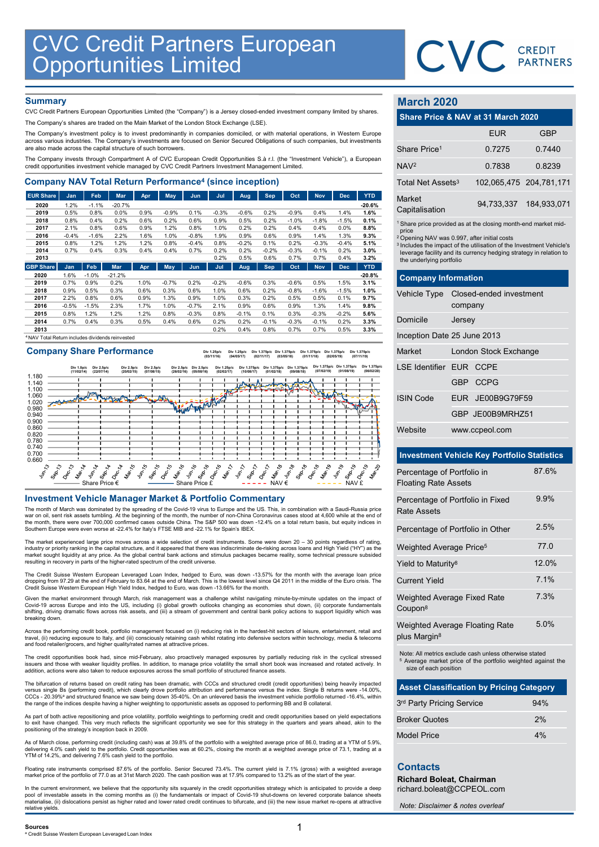

## **Summary**

| <b>CVC Credit Partners European<br/>Opportunities Limited</b>                                                                                                                                      |                 |                 |                  |              |              |                    |              |                 |              |              |                 |                 |                  |                               |                                                                               |                        |
|----------------------------------------------------------------------------------------------------------------------------------------------------------------------------------------------------|-----------------|-----------------|------------------|--------------|--------------|--------------------|--------------|-----------------|--------------|--------------|-----------------|-----------------|------------------|-------------------------------|-------------------------------------------------------------------------------|------------------------|
|                                                                                                                                                                                                    |                 |                 |                  |              |              |                    |              |                 |              |              |                 |                 |                  |                               | <b>CVC</b> CREDIT                                                             |                        |
|                                                                                                                                                                                                    |                 |                 |                  |              |              |                    |              |                 |              |              |                 |                 |                  |                               |                                                                               |                        |
|                                                                                                                                                                                                    |                 |                 |                  |              |              |                    |              |                 |              |              |                 |                 |                  |                               |                                                                               |                        |
| <b>Summary</b>                                                                                                                                                                                     |                 |                 |                  |              |              |                    |              |                 |              |              |                 |                 |                  | <b>March 2020</b>             |                                                                               |                        |
| CVC Credit Partners European Opportunities Limited (the "Company") is a Jersey closed-ended investment company limited by shares.                                                                  |                 |                 |                  |              |              |                    |              |                 |              |              |                 |                 |                  |                               |                                                                               |                        |
| The Company's shares are traded on the Main Market of the London Stock Exchange (LSE).                                                                                                             |                 |                 |                  |              |              |                    |              |                 |              |              |                 |                 |                  |                               | Share Price & NAV at 31 March 2020                                            |                        |
| The Company's investment policy is to invest predominantly in companies domiciled, or with material operations, in Western Europe                                                                  |                 |                 |                  |              |              |                    |              |                 |              |              |                 |                 |                  |                               | <b>EUR</b>                                                                    | <b>GBP</b>             |
| across various industries. The Company's investments are focused on Senior Secured Obligations of such companies, but investments<br>are also made across the capital structure of such borrowers. |                 |                 |                  |              |              |                    |              |                 |              |              |                 |                 |                  | Share Price <sup>1</sup>      | 0.7275                                                                        | 0.7440                 |
| The Company invests through Compartment A of CVC European Credit Opportunities S.à r.l. (the "Investment Vehicle"), a European                                                                     |                 |                 |                  |              |              |                    |              |                 |              |              |                 |                 |                  | NAV <sup>2</sup>              | 0.7838                                                                        | 0.8239                 |
| credit opportunities investment vehicle managed by CVC Credit Partners Investment Management Limited.                                                                                              |                 |                 |                  |              |              |                    |              |                 |              |              |                 |                 |                  |                               |                                                                               |                        |
| <b>Company NAV Total Return Performance<sup>4</sup> (since inception)</b>                                                                                                                          |                 |                 |                  |              |              |                    |              |                 |              |              |                 |                 |                  | Total Net Assets <sup>3</sup> |                                                                               | 102,065,475 204,781,17 |
| <b>EUR Share</b>                                                                                                                                                                                   | Jan             | Feb             | Mar              | Apr          | <b>May</b>   | Jun                | Jul          | Aug             | Sep          | Oct          | <b>Nov</b>      | <b>Dec</b>      | <b>YTD</b>       | Market                        |                                                                               |                        |
| 2020<br>2019                                                                                                                                                                                       | 1.2%<br>0.5%    | $-1.1%$<br>0.8% | $-20.7%$<br>0.0% | 0.9%         | $-0.9%$      | 0.1%               | $-0.3%$      | $-0.6%$         | 0.2%         | $-0.9%$      | 0.4%            | 1.4%            | $-20.6%$<br>1.6% | Capitalisation                | 94,733,337                                                                    | 184,933,07             |
| 2018                                                                                                                                                                                               | 0.8%            | 0.4%            | 0.2%             | 0.6%         | 0.2%         | 0.6%               | 0.9%         | 0.5%            | 0.2%         | $-1.0%$      | $-1.8%$         | $-1.5%$         | 0.1%             |                               | <sup>1</sup> Share price provided as at the closing month-end market mid      |                        |
| 2017                                                                                                                                                                                               | 2.1%            | 0.8%            | 0.6%             | 0.9%         | 1.2%         | 0.8%               | 1.0%         | 0.2%            | 0.2%         | 0.4%         | 0.4%            | 0.0%            | 8.8%             | price                         |                                                                               |                        |
| 2016<br>2015                                                                                                                                                                                       | $-0.4%$<br>0.8% | $-1.6%$<br>1.2% | 2.2%<br>1.2%     | 1.6%<br>1.2% | 1.0%<br>0.8% | $-0.8%$<br>$-0.4%$ | 1.9%<br>0.8% | 0.9%<br>$-0.2%$ | 0.6%<br>0.1% | 0.9%<br>0.2% | 1.4%<br>$-0.3%$ | 1.3%<br>$-0.4%$ | 9.3%<br>5.1%     |                               | <sup>2</sup> Opening NAV was 0.997, after initial costs                       |                        |
| 2014                                                                                                                                                                                               | 0.7%            | 0.4%            | 0.3%             | 0.4%         | 0.4%         | 0.7%               | 0.2%         | 0.2%            | $-0.2%$      | $-0.3%$      | $-0.1%$         | 0.2%            | 3.0%             |                               | <sup>3</sup> Includes the impact of the utilisation of the Investment Vehicle |                        |
| 2013                                                                                                                                                                                               |                 |                 |                  |              |              |                    | 0.2%         | 0.5%            | 0.6%         | 0.7%         | 0.7%            | 0.4%            | 3.2%             | the underlying portfolio      | leverage facility and its currency hedging strategy in relation t             |                        |
| <b>GBP Share</b>                                                                                                                                                                                   | Jan             | Feb             | Mar              | Apr          | <b>May</b>   | Jun                | Jul          | Aug             | <b>Sep</b>   | Oct          | <b>Nov</b>      | <b>Dec</b>      | <b>YTD</b>       |                               |                                                                               |                        |
| 2020                                                                                                                                                                                               | 1.6%            | $-1.0%$         | $-21.2%$         |              |              |                    |              |                 |              |              |                 |                 | $-20.8%$         | <b>Company Information</b>    |                                                                               |                        |
| 2019                                                                                                                                                                                               | 0.7%            | 0.9%            | 0.2%             | 1.0%         | $-0.7%$      | 0.2%               | $-0.2%$      | $-0.6%$         | 0.3%         | $-0.6%$      | 0.5%            | 1.5%            | 3.1%             |                               |                                                                               |                        |
| 2018                                                                                                                                                                                               | 0.9%            | 0.5%            | 0.3%             | 0.6%         | 0.3%         | 0.6%               | 1.0%         | 0.6%            | 0.2%         | $-0.8%$      | $-1.6%$         | $-1.5%$         | 1.0%             | <b>Vehicle Type</b>           | Closed-ended investment                                                       |                        |
| 2017<br>2016                                                                                                                                                                                       | 2.2%<br>$-0.5%$ | 0.8%<br>$-1.5%$ | 0.6%<br>2.3%     | 0.9%<br>1.7% | 1.3%<br>1.0% | 0.9%<br>$-0.7%$    | 1.0%<br>2.1% | 0.3%<br>0.9%    | 0.2%<br>0.6% | 0.5%<br>0.9% | 0.5%<br>1.3%    | 0.1%<br>1.4%    | 9.7%<br>9.8%     |                               | company                                                                       |                        |
| 2015                                                                                                                                                                                               | 0.8%            | 1.2%            | 1.2%             | 1.2%         | 0.8%         | $-0.3%$            | 0.8%         | $-0.1%$         | 0.1%         | 0.3%         | $-0.3%$         | $-0.2%$         | 5.6%             |                               |                                                                               |                        |
| 2014                                                                                                                                                                                               | 0.7%            | 0.4%            | 0.3%             | 0.5%         | 0.4%         | 0.6%               | 0.2%         | 0.2%            | $-0.1%$      | $-0.3%$      | $-0.1%$         | 0.2%            | 3.3%             | Domicile                      | Jersey                                                                        |                        |
| 2013                                                                                                                                                                                               |                 |                 |                  |              |              |                    | 0.2%         | 0.4%            | 0.8%         | 0.7%         | 0.7%            | 0.5%            | 3.3%             |                               |                                                                               |                        |
| NAV Total Return includes dividends reinvested                                                                                                                                                     |                 |                 |                  |              |              |                    |              |                 |              |              |                 |                 |                  | Inception Date 25 June 2013   |                                                                               |                        |

Company Share Performance

Div 1.25p/c (03/11/16) Div 1.25p/c (04/05/17) Div 1.375p/c (02/11/17) Div 1.375p/c (03/05/18) Div 1.375p/c (01/11/18) Div 1.375p/c (02/05/19) Div 1.375p/c (07/11/19)



The month of March was dominated by the spreading of the Covid-19 virus to Europe and the US. This, in combination with a Saudi-Russia price war on oil, sent risk assets tumbling. At the beginning of the month, the number of non-China Coronavirus cases stood at 4,600 while at the end of<br>the month, there were over 700,000 confirmed cases outside China. The S&P 5 Southern Europe were even worse at -22.4% for Italy's FTSE MIB and -22.1% for Spain's IBEX.

The market experienced large price moves across a wide selection of credit instruments. Some were down 20 – 30 points regardless of rating, industry or priority ranking in the capital structure, and it appeared that there was indiscriminate de-risking across loans and High Yield ("HY") as the market sought liquidity at any price. As the global central bank actions and stimulus packages became reality, some technical pressure subsided<br>resulting in recovery in parts of the higher-rated spectrum of the credit univ

The Credit Suisse Western European Leveraged Loan Index, hedged to Euro, was down -13.57% for the month with the average loan price<br>dropping from 97.29 at the end of February to 83.64 at the end of March. This is the lowes

Given the market environment through March, risk management was a challenge whilst navigating minute-by-minute updates on the impact of Covid-19 across Europe and into the US, including (i) global growth outlooks changing as economies shut down, (ii) corporate fundamentals<br>shifting, driving dramatic flows across risk assets, and (iii) a stream of governmen

Across the performing credit book, portfolio management focused on (i) reducing risk in the hardest-hit sectors of leisure, entertainment, retail and<br>travel, (ii) reducing exposure to Italy, and (iii) consciously retaining

The credit opportunities book had, since mid-February, also proactively managed exposures by partially reducing risk in the cyclical stressed<br>issuers and those with weaker liquidity profiles. In addition, to manage price v addition, actions were also taken to reduce exposures across the small portfolio of structured finance assets.

The bifurcation of returns based on credit rating has been dramatic, with CCCs and structured credit (credit opportunities) being heavily impacted versus single Bs (performing credit), which clearly drove portfolio attribution and performance versus the index. Single B returns were -14.00%,<br>CCCs - 20.39% and structured finance we saw being down 35-40%. On an unlevere

As part of both active repositioning and price volatility, portfolio weightings to performing credit and credit opportunities based on yield expectations<br>to exit have changed. This very much reflects the significant opport positioning of the strategy's inception back in 2009.

As of March close, performing credit (including cash) was at 39.8% of the portfolio with a weighted average price of 86.0, trading at a YTM of 5.9%, delivering 4.0% cash yield to the portfolio. Credit opportunities was at 60.2%, closing the month at a weighted average price of 73.1, trading at a YTM of 14.2%, and delivering 7.6% cash yield to the portfolio.

Floating rate instruments comprised 87.6% of the portfolio. Senior Secured 73.4%. The current yield is 7.1% (gross) with a weighted average market price of the portfolio of 77.0 as at 31st March 2020. The cash position was at 17.9% compared to 13.2% as of the start of the year.

In the current environment, we believe that the opportunity sits squarely in the credit opportunities strategy which is anticipated to provide a deep pool of investable assets in the coming months as (i) the fundamentals or impact of Covid-19 shut-downs on levered corporate balance sheets<br>materialise, (ii) dislocations persist as higher rated and lower rated credit cont relative yields.

# March 2020

|                               | CVC CREDIT                                                                                                                                                                                                       |             |
|-------------------------------|------------------------------------------------------------------------------------------------------------------------------------------------------------------------------------------------------------------|-------------|
|                               |                                                                                                                                                                                                                  |             |
| <b>March 2020</b>             |                                                                                                                                                                                                                  |             |
|                               | Share Price & NAV at 31 March 2020                                                                                                                                                                               |             |
|                               | <b>EUR</b>                                                                                                                                                                                                       | <b>GBP</b>  |
| Share Price <sup>1</sup>      | 0.7275                                                                                                                                                                                                           | 0.7440      |
| NAV <sup>2</sup>              | 0.7838                                                                                                                                                                                                           | 0.8239      |
| Total Net Assets <sup>3</sup> | 102,065,475                                                                                                                                                                                                      | 204,781,171 |
| Market<br>Capitalisation      | 94,733,337                                                                                                                                                                                                       | 184,933,071 |
| price                         | <sup>1</sup> Share price provided as at the closing month-end market mid-                                                                                                                                        |             |
| the underlying portfolio      | <sup>2</sup> Opening NAV was 0.997, after initial costs<br><sup>3</sup> Includes the impact of the utilisation of the Investment Vehicle's<br>leverage facility and its currency hedging strategy in relation to |             |
| <b>Company Information</b>    |                                                                                                                                                                                                                  |             |
| Vehicle Type                  | Closed-ended investment                                                                                                                                                                                          |             |
|                               | company                                                                                                                                                                                                          |             |
| Domicile                      | Jersey                                                                                                                                                                                                           |             |
|                               | Inception Date 25 June 2013                                                                                                                                                                                      |             |
| Market                        | London Stock Exchange                                                                                                                                                                                            |             |

|                                                           |                                                                                                                                                                                                                                                                                               | <b>PARTNERS</b> |
|-----------------------------------------------------------|-----------------------------------------------------------------------------------------------------------------------------------------------------------------------------------------------------------------------------------------------------------------------------------------------|-----------------|
| <b>March 2020</b>                                         |                                                                                                                                                                                                                                                                                               |                 |
|                                                           | Share Price & NAV at 31 March 2020                                                                                                                                                                                                                                                            |                 |
|                                                           | <b>EUR</b>                                                                                                                                                                                                                                                                                    | <b>GBP</b>      |
| Share Price <sup>1</sup>                                  | 0.7275                                                                                                                                                                                                                                                                                        | 0.7440          |
| NAV <sup>2</sup>                                          | 0.7838                                                                                                                                                                                                                                                                                        | 0.8239          |
| Total Net Assets <sup>3</sup>                             | 102,065,475                                                                                                                                                                                                                                                                                   | 204,781,171     |
| <b>Market</b><br>Capitalisation                           | 94,733,337                                                                                                                                                                                                                                                                                    | 184,933,071     |
| price<br>the underlying portfolio                         | <sup>1</sup> Share price provided as at the closing month-end market mid-<br><sup>2</sup> Opening NAV was 0.997, after initial costs<br><sup>3</sup> Includes the impact of the utilisation of the Investment Vehicle's<br>leverage facility and its currency hedging strategy in relation to |                 |
| <b>Company Information</b>                                |                                                                                                                                                                                                                                                                                               |                 |
| Vehicle Type                                              | Closed-ended investment<br>company                                                                                                                                                                                                                                                            |                 |
| Domicile                                                  | Jersey                                                                                                                                                                                                                                                                                        |                 |
|                                                           | Inception Date 25 June 2013                                                                                                                                                                                                                                                                   |                 |
| Market                                                    | London Stock Exchange                                                                                                                                                                                                                                                                         |                 |
| <b>LSE Identifier EUR CCPE</b>                            |                                                                                                                                                                                                                                                                                               |                 |
|                                                           | <b>GBP</b><br><b>CCPG</b>                                                                                                                                                                                                                                                                     |                 |
| <b>ISIN Code</b>                                          | EUR JE00B9G79F59                                                                                                                                                                                                                                                                              |                 |
|                                                           | GBP JE00B9MRHZ51                                                                                                                                                                                                                                                                              |                 |
| Website                                                   | www.ccpeol.com                                                                                                                                                                                                                                                                                |                 |
|                                                           | <b>Investment Vehicle Key Portfolio Statistics</b>                                                                                                                                                                                                                                            |                 |
| Percentage of Portfolio in<br><b>Floating Rate Assets</b> |                                                                                                                                                                                                                                                                                               | 87.6%           |

## Investment Vehicle Key Portfolio Statistics

| <b>Investment Vehicle Key Portfolio Statistics</b>                                                                                                         |       |
|------------------------------------------------------------------------------------------------------------------------------------------------------------|-------|
| Percentage of Portfolio in<br><b>Floating Rate Assets</b>                                                                                                  | 87.6% |
| Percentage of Portfolio in Fixed<br><b>Rate Assets</b>                                                                                                     | 9.9%  |
| Percentage of Portfolio in Other                                                                                                                           | 2.5%  |
| Weighted Average Price <sup>5</sup>                                                                                                                        | 77.0  |
| Yield to Maturity <sup>8</sup>                                                                                                                             | 12.0% |
| <b>Current Yield</b>                                                                                                                                       | 7.1%  |
| Weighted Average Fixed Rate<br>Coupon <sup>8</sup>                                                                                                         | 7.3%  |
| Weighted Average Floating Rate<br>plus Margin <sup>8</sup>                                                                                                 | 5.0%  |
| Note: All metrics exclude cash unless otherwise stated<br><sup>5</sup> Average market price of the portfolio weighted against the<br>size of each position |       |
| <b>Asset Classification by Pricing Category</b>                                                                                                            |       |
| 3rd Party Pricing Service                                                                                                                                  | 94%   |
| <b>Broker Quotes</b>                                                                                                                                       | 2%    |
| <b>Model Price</b>                                                                                                                                         | 4%    |
|                                                                                                                                                            |       |
| <b>Contacts</b>                                                                                                                                            |       |
| <b>Richard Boleat, Chairman</b><br>richard.boleat@CCPEOL.com                                                                                               |       |

| <b>Asset Classification by Pricing Category</b> |     |
|-------------------------------------------------|-----|
| 3rd Party Pricing Service                       | 94% |
| <b>Broker Quotes</b>                            | 2%  |
| <b>Model Price</b>                              | 4%  |

# **Contacts**

Note: Disclaimer & notes overleaf